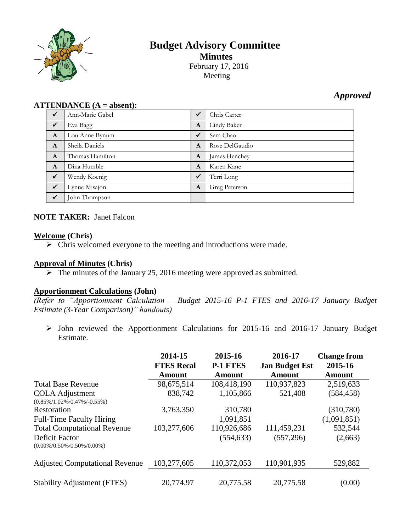

# **Budget Advisory Committee Minutes** February 17, 2016 Meeting

# *Approved*

#### **ATTENDANCE (A = absent):**

| $\checkmark$ | Ann-Marie Gabel | ✔            | Chris Carter   |
|--------------|-----------------|--------------|----------------|
| $\sqrt{}$    | Eva Bagg        | A            | Cindy Baker    |
| $\mathbf{A}$ | Lou Anne Bynum  | $\checkmark$ | Sem Chao       |
| $\mathbf{A}$ | Sheila Daniels  | A            | Rose DelGaudio |
| $\mathbf{A}$ | Thomas Hamilton | A            | James Henchey  |
| $\mathbf{A}$ | Dina Humble     | A            | Karen Kane     |
| $\sqrt{}$    | Wendy Koenig    | $\checkmark$ | Terri Long     |
| $\sqrt{}$    | Lynne Misajon   | A            | Greg Peterson  |
| $\sqrt{ }$   | John Thompson   |              |                |

## **NOTE TAKER:** Janet Falcon

#### **Welcome (Chris)**

 $\triangleright$  Chris welcomed everyone to the meeting and introductions were made.

#### **Approval of Minutes (Chris)**

 $\triangleright$  The minutes of the January 25, 2016 meeting were approved as submitted.

#### **Apportionment Calculations (John)**

*(Refer to "Apportionment Calculation – Budget 2015-16 P-1 FTES and 2016-17 January Budget Estimate (3-Year Comparison)" handouts)*

 John reviewed the Apportionment Calculations for 2015-16 and 2016-17 January Budget Estimate.

|                                                                                         | 2014-15<br><b>FTES Recal</b><br>Amount | 2015-16<br><b>P-1 FTES</b><br>Amount | 2016-17<br><b>Jan Budget Est</b><br><b>Amount</b> | <b>Change from</b><br>2015-16<br>Amount |
|-----------------------------------------------------------------------------------------|----------------------------------------|--------------------------------------|---------------------------------------------------|-----------------------------------------|
| <b>Total Base Revenue</b>                                                               | 98,675,514                             | 108,418,190                          | 110,937,823                                       | 2,519,633                               |
| <b>COLA Adjustment</b><br>$(0.85\%/1.02\%/0.47\%/0.55\%)$                               | 838,742                                | 1,105,866                            | 521,408                                           | (584, 458)                              |
| Restoration                                                                             | 3,763,350                              | 310,780                              |                                                   | (310,780)                               |
| <b>Full-Time Faculty Hiring</b>                                                         |                                        | 1,091,851                            |                                                   | (1,091,851)                             |
| <b>Total Computational Revenue</b><br>Deficit Factor<br>$(0.00\%/0.50\%/0.50\%/0.00\%)$ | 103,277,606                            | 110,926,686<br>(554, 633)            | 111,459,231<br>(557, 296)                         | 532,544<br>(2,663)                      |
| <b>Adjusted Computational Revenue</b>                                                   | 103,277,605                            | 110,372,053                          | 110,901,935                                       | 529,882                                 |
| <b>Stability Adjustment (FTES)</b>                                                      | 20,774.97                              | 20,775.58                            | 20,775.58                                         | (0.00)                                  |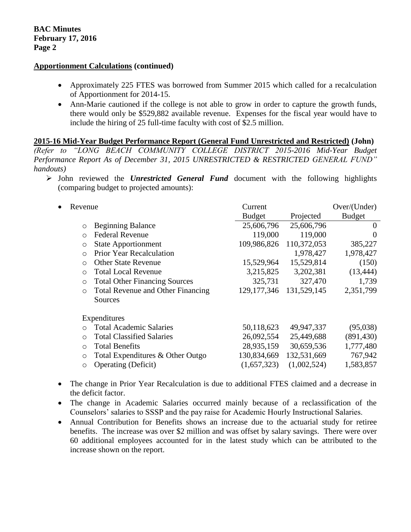#### **Apportionment Calculations (continued)**

- Approximately 225 FTES was borrowed from Summer 2015 which called for a recalculation of Apportionment for 2014-15.
- Ann-Marie cautioned if the college is not able to grow in order to capture the growth funds, there would only be \$529,882 available revenue. Expenses for the fiscal year would have to include the hiring of 25 full-time faculty with cost of \$2.5 million.

**2015-16 Mid-Year Budget Performance Report (General Fund Unrestricted and Restricted) (John)** *(Refer to "LONG BEACH COMMUNITY COLLEGE DISTRICT 2015-2016 Mid-Year Budget Performance Report As of December 31, 2015 UNRESTRICTED & RESTRICTED GENERAL FUND" handouts)*

 John reviewed the *Unrestricted General Fund* document with the following highlights (comparing budget to projected amounts):

| Revenue                                             | Current       |             | Over/(Under)  |
|-----------------------------------------------------|---------------|-------------|---------------|
|                                                     | <b>Budget</b> | Projected   | <b>Budget</b> |
| <b>Beginning Balance</b><br>$\circ$                 | 25,606,796    | 25,606,796  | $\theta$      |
| <b>Federal Revenue</b><br>$\circ$                   | 119,000       | 119,000     | $\Omega$      |
| <b>State Apportionment</b><br>$\circ$               | 109,986,826   | 110,372,053 | 385,227       |
| Prior Year Recalculation<br>$\circ$                 |               | 1,978,427   | 1,978,427     |
| <b>Other State Revenue</b><br>$\circ$               | 15,529,964    | 15,529,814  | (150)         |
| <b>Total Local Revenue</b><br>$\circ$               | 3,215,825     | 3,202,381   | (13, 444)     |
| <b>Total Other Financing Sources</b><br>$\circ$     | 325,731       | 327,470     | 1,739         |
| <b>Total Revenue and Other Financing</b><br>$\circ$ | 129, 177, 346 | 131,529,145 | 2,351,799     |
| Sources                                             |               |             |               |
| Expenditures                                        |               |             |               |
| <b>Total Academic Salaries</b><br>$\bigcirc$        | 50,118,623    | 49,947,337  | (95,038)      |
| <b>Total Classified Salaries</b><br>$\circ$         | 26,092,554    | 25,449,688  | (891, 430)    |
| <b>Total Benefits</b><br>$\circ$                    | 28,935,159    | 30,659,536  | 1,777,480     |
| Total Expenditures & Other Outgo<br>$\circ$         | 130,834,669   | 132,531,669 | 767,942       |
| <b>Operating (Deficit)</b><br>$\circ$               | (1,657,323)   | (1,002,524) | 1,583,857     |

- The change in Prior Year Recalculation is due to additional FTES claimed and a decrease in the deficit factor.
- The change in Academic Salaries occurred mainly because of a reclassification of the Counselors' salaries to SSSP and the pay raise for Academic Hourly Instructional Salaries.
- Annual Contribution for Benefits shows an increase due to the actuarial study for retiree benefits. The increase was over \$2 million and was offset by salary savings. There were over 60 additional employees accounted for in the latest study which can be attributed to the increase shown on the report.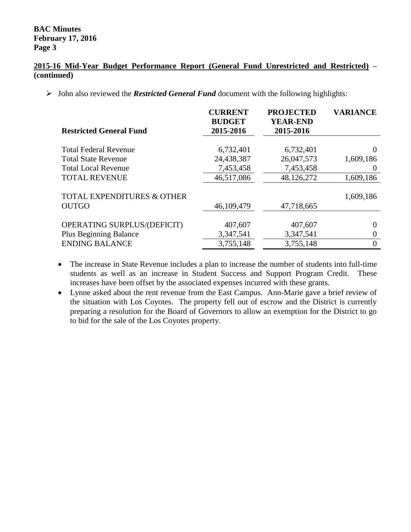### **BAC Minutes February 17, 2016 Page 3**

#### **2015-16 Mid-Year Budget Performance Report (General Fund Unrestricted and Restricted) – (continued)**

John also reviewed the *Restricted General Fund* document with the following highlights:

| <b>Restricted General Fund</b>                        | <b>CURRENT</b><br><b>BUDGET</b><br>2015-2016 | <b>PROJECTED</b><br><b>YEAR-END</b><br>2015-2016 | <b>VARIANCE</b> |
|-------------------------------------------------------|----------------------------------------------|--------------------------------------------------|-----------------|
|                                                       |                                              |                                                  |                 |
| <b>Total Federal Revenue</b>                          | 6,732,401                                    | 6,732,401                                        | $\Omega$        |
| <b>Total State Revenue</b>                            | 24,438,387                                   | 26,047,573                                       | 1,609,186       |
| <b>Total Local Revenue</b>                            | 7,453,458                                    | 7,453,458                                        | $\theta$        |
| <b>TOTAL REVENUE</b>                                  | 46,517,086                                   | 48,126,272                                       | 1,609,186       |
| <b>TOTAL EXPENDITURES &amp; OTHER</b><br><b>OUTGO</b> | 46,109,479                                   | 47,718,665                                       | 1,609,186       |
|                                                       |                                              |                                                  |                 |
| <b>OPERATING SURPLUS/(DEFICIT)</b>                    | 407,607                                      | 407,607                                          | $\Omega$        |
| <b>Plus Beginning Balance</b>                         | 3,347,541                                    | 3,347,541                                        | $\theta$        |
| <b>ENDING BALANCE</b>                                 | 3,755,148                                    | 3,755,148                                        | $\Omega$        |

 The increase in State Revenue includes a plan to increase the number of students into full-time students as well as an increase in Student Success and Support Program Credit. These increases have been offset by the associated expenses incurred with these grants.

 Lynne asked about the rent revenue from the East Campus. Ann-Marie gave a brief review of the situation with Los Coyotes. The property fell out of escrow and the District is currently preparing a resolution for the Board of Governors to allow an exemption for the District to go to bid for the sale of the Los Coyotes property.